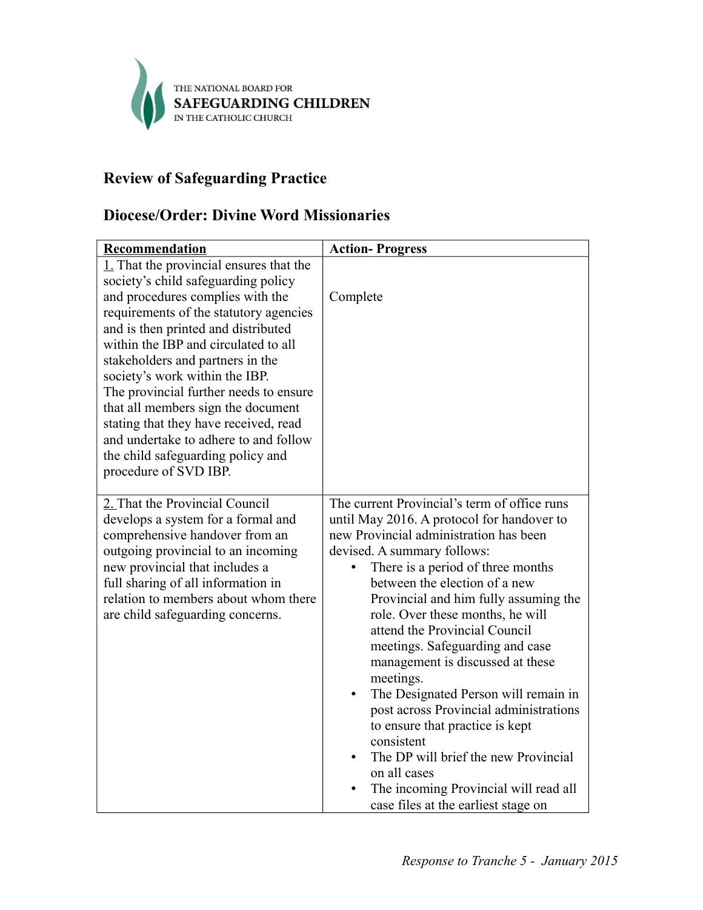

## **Review of Safeguarding Practice**

## **Diocese/Order: Divine Word Missionaries**

| <b>Recommendation</b>                                                                                                                                                                                                                                                                                                                                                                                                                                                                                                                             | <b>Action-Progress</b>                                                                                                                                                                                                                                                                                                                                                                                                                                                                                                                                                                                                                                                                                                              |
|---------------------------------------------------------------------------------------------------------------------------------------------------------------------------------------------------------------------------------------------------------------------------------------------------------------------------------------------------------------------------------------------------------------------------------------------------------------------------------------------------------------------------------------------------|-------------------------------------------------------------------------------------------------------------------------------------------------------------------------------------------------------------------------------------------------------------------------------------------------------------------------------------------------------------------------------------------------------------------------------------------------------------------------------------------------------------------------------------------------------------------------------------------------------------------------------------------------------------------------------------------------------------------------------------|
| 1. That the provincial ensures that the<br>society's child safeguarding policy<br>and procedures complies with the<br>requirements of the statutory agencies<br>and is then printed and distributed<br>within the IBP and circulated to all<br>stakeholders and partners in the<br>society's work within the IBP.<br>The provincial further needs to ensure<br>that all members sign the document<br>stating that they have received, read<br>and undertake to adhere to and follow<br>the child safeguarding policy and<br>procedure of SVD IBP. | Complete                                                                                                                                                                                                                                                                                                                                                                                                                                                                                                                                                                                                                                                                                                                            |
| 2. That the Provincial Council<br>develops a system for a formal and<br>comprehensive handover from an<br>outgoing provincial to an incoming<br>new provincial that includes a<br>full sharing of all information in<br>relation to members about whom there<br>are child safeguarding concerns.                                                                                                                                                                                                                                                  | The current Provincial's term of office runs<br>until May 2016. A protocol for handover to<br>new Provincial administration has been<br>devised. A summary follows:<br>There is a period of three months<br>between the election of a new<br>Provincial and him fully assuming the<br>role. Over these months, he will<br>attend the Provincial Council<br>meetings. Safeguarding and case<br>management is discussed at these<br>meetings.<br>The Designated Person will remain in<br>$\bullet$<br>post across Provincial administrations<br>to ensure that practice is kept<br>consistent<br>The DP will brief the new Provincial<br>on all cases<br>The incoming Provincial will read all<br>case files at the earliest stage on |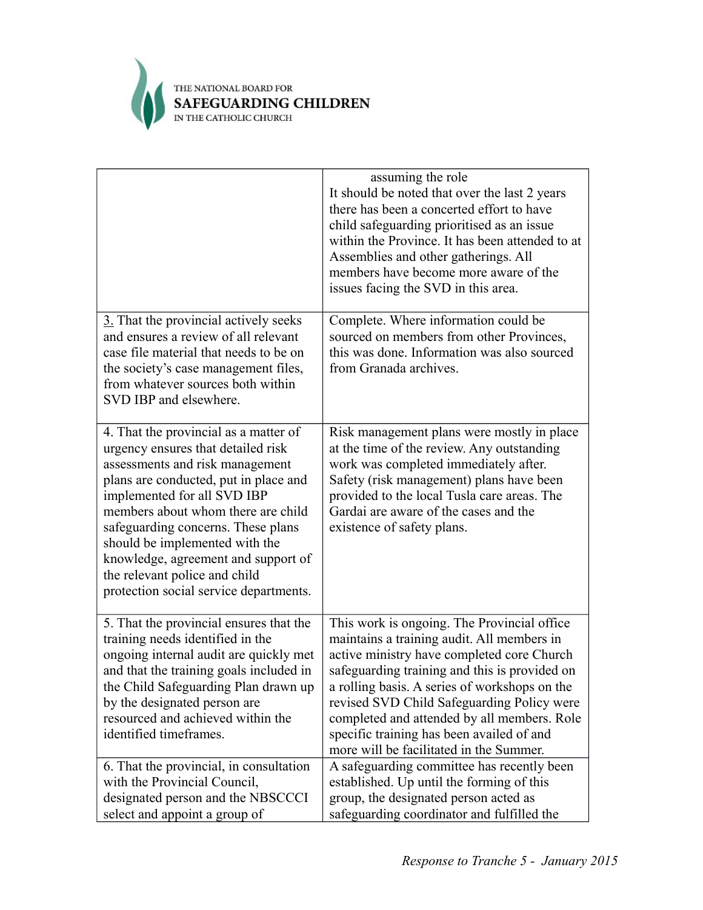

|                                                                                                                                                                                                                                                                                                                                                                                                                        | assuming the role<br>It should be noted that over the last 2 years<br>there has been a concerted effort to have<br>child safeguarding prioritised as an issue<br>within the Province. It has been attended to at<br>Assemblies and other gatherings. All<br>members have become more aware of the<br>issues facing the SVD in this area.                                                                                       |
|------------------------------------------------------------------------------------------------------------------------------------------------------------------------------------------------------------------------------------------------------------------------------------------------------------------------------------------------------------------------------------------------------------------------|--------------------------------------------------------------------------------------------------------------------------------------------------------------------------------------------------------------------------------------------------------------------------------------------------------------------------------------------------------------------------------------------------------------------------------|
| 3. That the provincial actively seeks<br>and ensures a review of all relevant<br>case file material that needs to be on<br>the society's case management files,<br>from whatever sources both within<br>SVD IBP and elsewhere.                                                                                                                                                                                         | Complete. Where information could be<br>sourced on members from other Provinces,<br>this was done. Information was also sourced<br>from Granada archives.                                                                                                                                                                                                                                                                      |
| 4. That the provincial as a matter of<br>urgency ensures that detailed risk<br>assessments and risk management<br>plans are conducted, put in place and<br>implemented for all SVD IBP<br>members about whom there are child<br>safeguarding concerns. These plans<br>should be implemented with the<br>knowledge, agreement and support of<br>the relevant police and child<br>protection social service departments. | Risk management plans were mostly in place<br>at the time of the review. Any outstanding<br>work was completed immediately after.<br>Safety (risk management) plans have been<br>provided to the local Tusla care areas. The<br>Gardai are aware of the cases and the<br>existence of safety plans.                                                                                                                            |
| 5. That the provincial ensures that the<br>training needs identified in the<br>ongoing internal audit are quickly met<br>and that the training goals included in<br>the Child Safeguarding Plan drawn up<br>by the designated person are<br>resourced and achieved within the<br>identified timeframes.                                                                                                                | This work is ongoing. The Provincial office<br>maintains a training audit. All members in<br>active ministry have completed core Church<br>safeguarding training and this is provided on<br>a rolling basis. A series of workshops on the<br>revised SVD Child Safeguarding Policy were<br>completed and attended by all members. Role<br>specific training has been availed of and<br>more will be facilitated in the Summer. |
| 6. That the provincial, in consultation<br>with the Provincial Council,<br>designated person and the NBSCCCI<br>select and appoint a group of                                                                                                                                                                                                                                                                          | A safeguarding committee has recently been<br>established. Up until the forming of this<br>group, the designated person acted as<br>safeguarding coordinator and fulfilled the                                                                                                                                                                                                                                                 |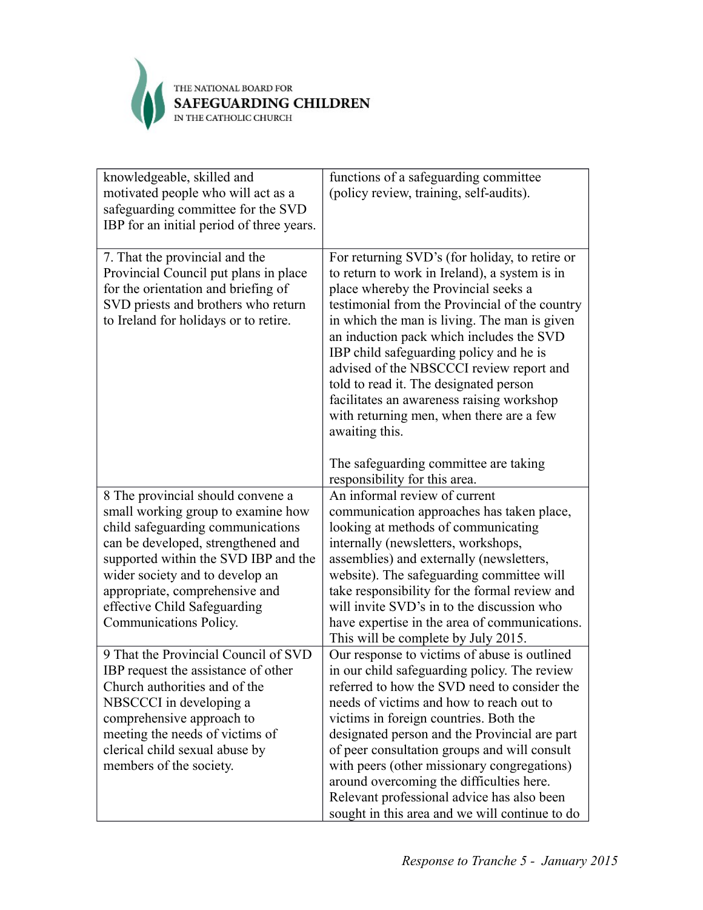

| knowledgeable, skilled and<br>motivated people who will act as a<br>safeguarding committee for the SVD<br>IBP for an initial period of three years.                                                                                                                                                                       | functions of a safeguarding committee<br>(policy review, training, self-audits).                                                                                                                                                                                                                                                                                                                                                                                                                                                                                           |
|---------------------------------------------------------------------------------------------------------------------------------------------------------------------------------------------------------------------------------------------------------------------------------------------------------------------------|----------------------------------------------------------------------------------------------------------------------------------------------------------------------------------------------------------------------------------------------------------------------------------------------------------------------------------------------------------------------------------------------------------------------------------------------------------------------------------------------------------------------------------------------------------------------------|
| 7. That the provincial and the<br>Provincial Council put plans in place<br>for the orientation and briefing of<br>SVD priests and brothers who return<br>to Ireland for holidays or to retire.                                                                                                                            | For returning SVD's (for holiday, to retire or<br>to return to work in Ireland), a system is in<br>place whereby the Provincial seeks a<br>testimonial from the Provincial of the country<br>in which the man is living. The man is given<br>an induction pack which includes the SVD<br>IBP child safeguarding policy and he is<br>advised of the NBSCCCI review report and<br>told to read it. The designated person<br>facilitates an awareness raising workshop<br>with returning men, when there are a few<br>awaiting this.<br>The safeguarding committee are taking |
|                                                                                                                                                                                                                                                                                                                           | responsibility for this area.                                                                                                                                                                                                                                                                                                                                                                                                                                                                                                                                              |
| 8 The provincial should convene a<br>small working group to examine how<br>child safeguarding communications<br>can be developed, strengthened and<br>supported within the SVD IBP and the<br>wider society and to develop an<br>appropriate, comprehensive and<br>effective Child Safeguarding<br>Communications Policy. | An informal review of current<br>communication approaches has taken place,<br>looking at methods of communicating<br>internally (newsletters, workshops,<br>assemblies) and externally (newsletters,<br>website). The safeguarding committee will<br>take responsibility for the formal review and<br>will invite SVD's in to the discussion who<br>have expertise in the area of communications.<br>This will be complete by July 2015.                                                                                                                                   |
| 9 That the Provincial Council of SVD<br>IBP request the assistance of other<br>Church authorities and of the<br>NBSCCCI in developing a<br>comprehensive approach to<br>meeting the needs of victims of<br>clerical child sexual abuse by<br>members of the society.                                                      | Our response to victims of abuse is outlined<br>in our child safeguarding policy. The review<br>referred to how the SVD need to consider the<br>needs of victims and how to reach out to<br>victims in foreign countries. Both the<br>designated person and the Provincial are part<br>of peer consultation groups and will consult<br>with peers (other missionary congregations)<br>around overcoming the difficulties here.<br>Relevant professional advice has also been<br>sought in this area and we will continue to do                                             |